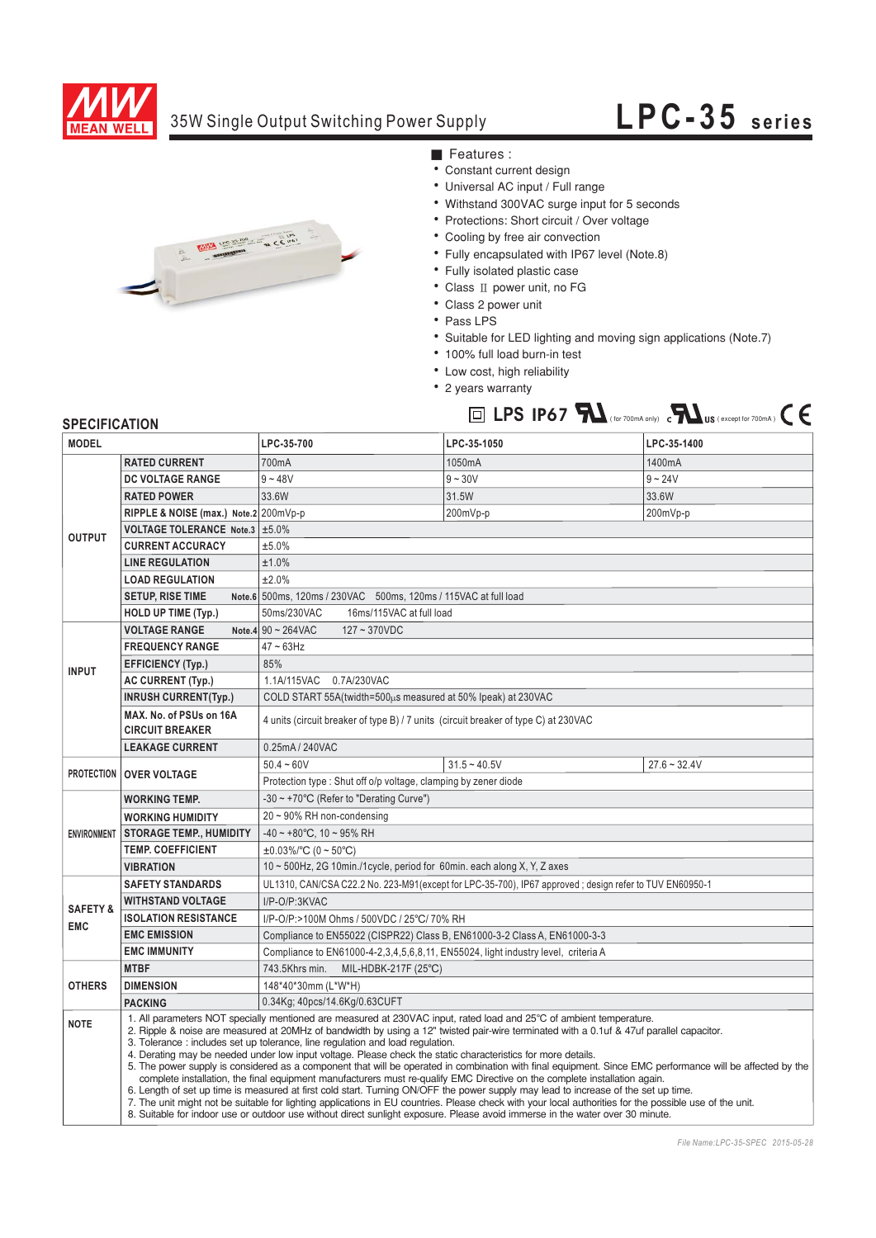

## 35W Single Output Switching Power Supply

## **LPC-35 series**



■ Features :

- Constant current design
- Universal AC input / Full range
- Withstand 300VAC surge input for 5 seconds
- Protections: Short circuit / Over voltage
- Cooling by free air convection
- Fully encapsulated with IP67 level (Note.8)
- · Fully isolated plastic case
- $\bullet$  Class II power unit, no FG
- Class 2 power unit
- Pass LPS
- Suitable for LED lighting and moving sign applications (Note.7)

LPS  $IP67$   $\sum$  (for 700mA only)  $\sum$  **IX** US (except for 700mA)

- 100% full load burn-in test
- Low cost, high reliability
- 2 years warranty



| <b>MODEL</b>                      |                                                                                                                                                                                                                                                                                                                                                                                                                                                                                                                                                                                                                                                                                                                                                                                                                                                                                                                                                                                                                                                                                                                                                                                               | LPC-35-700                                                                                             | LPC-35-1050    | LPC-35-1400    |
|-----------------------------------|-----------------------------------------------------------------------------------------------------------------------------------------------------------------------------------------------------------------------------------------------------------------------------------------------------------------------------------------------------------------------------------------------------------------------------------------------------------------------------------------------------------------------------------------------------------------------------------------------------------------------------------------------------------------------------------------------------------------------------------------------------------------------------------------------------------------------------------------------------------------------------------------------------------------------------------------------------------------------------------------------------------------------------------------------------------------------------------------------------------------------------------------------------------------------------------------------|--------------------------------------------------------------------------------------------------------|----------------|----------------|
| <b>OUTPUT</b>                     | <b>RATED CURRENT</b>                                                                                                                                                                                                                                                                                                                                                                                                                                                                                                                                                                                                                                                                                                                                                                                                                                                                                                                                                                                                                                                                                                                                                                          | 700mA                                                                                                  | 1050mA         | 1400mA         |
|                                   | <b>DC VOLTAGE RANGE</b>                                                                                                                                                                                                                                                                                                                                                                                                                                                                                                                                                                                                                                                                                                                                                                                                                                                                                                                                                                                                                                                                                                                                                                       | $9 - 48V$                                                                                              | $9 - 30V$      | $9 - 24V$      |
|                                   | <b>RATED POWER</b>                                                                                                                                                                                                                                                                                                                                                                                                                                                                                                                                                                                                                                                                                                                                                                                                                                                                                                                                                                                                                                                                                                                                                                            | 33.6W                                                                                                  | 31.5W          | 33.6W          |
|                                   | RIPPLE & NOISE (max.) Note.2 200mVp-p                                                                                                                                                                                                                                                                                                                                                                                                                                                                                                                                                                                                                                                                                                                                                                                                                                                                                                                                                                                                                                                                                                                                                         |                                                                                                        | 200mVp-p       | 200mVp-p       |
|                                   | VOLTAGE TOLERANCE Note.3 ±5.0%                                                                                                                                                                                                                                                                                                                                                                                                                                                                                                                                                                                                                                                                                                                                                                                                                                                                                                                                                                                                                                                                                                                                                                |                                                                                                        |                |                |
|                                   | <b>CURRENT ACCURACY</b>                                                                                                                                                                                                                                                                                                                                                                                                                                                                                                                                                                                                                                                                                                                                                                                                                                                                                                                                                                                                                                                                                                                                                                       | ±5.0%                                                                                                  |                |                |
|                                   | <b>LINE REGULATION</b>                                                                                                                                                                                                                                                                                                                                                                                                                                                                                                                                                                                                                                                                                                                                                                                                                                                                                                                                                                                                                                                                                                                                                                        | ±1.0%                                                                                                  |                |                |
|                                   | <b>LOAD REGULATION</b>                                                                                                                                                                                                                                                                                                                                                                                                                                                                                                                                                                                                                                                                                                                                                                                                                                                                                                                                                                                                                                                                                                                                                                        | ±2.0%                                                                                                  |                |                |
|                                   | <b>SETUP, RISE TIME</b>                                                                                                                                                                                                                                                                                                                                                                                                                                                                                                                                                                                                                                                                                                                                                                                                                                                                                                                                                                                                                                                                                                                                                                       | Note.6 500ms, 120ms / 230VAC 500ms, 120ms / 115VAC at full load                                        |                |                |
|                                   | <b>HOLD UP TIME (Typ.)</b>                                                                                                                                                                                                                                                                                                                                                                                                                                                                                                                                                                                                                                                                                                                                                                                                                                                                                                                                                                                                                                                                                                                                                                    | 50ms/230VAC<br>16ms/115VAC at full load                                                                |                |                |
| <b>INPUT</b>                      | <b>VOLTAGE RANGE</b>                                                                                                                                                                                                                                                                                                                                                                                                                                                                                                                                                                                                                                                                                                                                                                                                                                                                                                                                                                                                                                                                                                                                                                          | Note $4$ 90 ~ 264 VAC<br>$127 - 370VDC$                                                                |                |                |
|                                   | <b>FREQUENCY RANGE</b>                                                                                                                                                                                                                                                                                                                                                                                                                                                                                                                                                                                                                                                                                                                                                                                                                                                                                                                                                                                                                                                                                                                                                                        | $47 \sim 63$ Hz                                                                                        |                |                |
|                                   | <b>EFFICIENCY (Typ.)</b>                                                                                                                                                                                                                                                                                                                                                                                                                                                                                                                                                                                                                                                                                                                                                                                                                                                                                                                                                                                                                                                                                                                                                                      | 85%                                                                                                    |                |                |
|                                   | <b>AC CURRENT (Typ.)</b>                                                                                                                                                                                                                                                                                                                                                                                                                                                                                                                                                                                                                                                                                                                                                                                                                                                                                                                                                                                                                                                                                                                                                                      | 1.1A/115VAC 0.7A/230VAC                                                                                |                |                |
|                                   | <b>INRUSH CURRENT(Typ.)</b>                                                                                                                                                                                                                                                                                                                                                                                                                                                                                                                                                                                                                                                                                                                                                                                                                                                                                                                                                                                                                                                                                                                                                                   | COLD START 55A(twidth=500us measured at 50% Ipeak) at 230VAC                                           |                |                |
|                                   | MAX. No. of PSUs on 16A<br><b>CIRCUIT BREAKER</b>                                                                                                                                                                                                                                                                                                                                                                                                                                                                                                                                                                                                                                                                                                                                                                                                                                                                                                                                                                                                                                                                                                                                             | 4 units (circuit breaker of type B) / 7 units (circuit breaker of type C) at 230VAC                    |                |                |
|                                   | <b>LEAKAGE CURRENT</b>                                                                                                                                                                                                                                                                                                                                                                                                                                                                                                                                                                                                                                                                                                                                                                                                                                                                                                                                                                                                                                                                                                                                                                        | 0.25mA / 240VAC                                                                                        |                |                |
| <b>PROTECTION</b>                 |                                                                                                                                                                                                                                                                                                                                                                                                                                                                                                                                                                                                                                                                                                                                                                                                                                                                                                                                                                                                                                                                                                                                                                                               | $50.4 - 60V$                                                                                           | $31.5 - 40.5V$ | $27.6 - 32.4V$ |
|                                   | <b>OVER VOLTAGE</b><br>Protection type: Shut off o/p voltage, clamping by zener diode                                                                                                                                                                                                                                                                                                                                                                                                                                                                                                                                                                                                                                                                                                                                                                                                                                                                                                                                                                                                                                                                                                         |                                                                                                        |                |                |
| <b>ENVIRONMENT</b>                | <b>WORKING TEMP.</b>                                                                                                                                                                                                                                                                                                                                                                                                                                                                                                                                                                                                                                                                                                                                                                                                                                                                                                                                                                                                                                                                                                                                                                          | $-30 \sim +70^{\circ}$ C (Refer to "Derating Curve")                                                   |                |                |
|                                   | <b>WORKING HUMIDITY</b>                                                                                                                                                                                                                                                                                                                                                                                                                                                                                                                                                                                                                                                                                                                                                                                                                                                                                                                                                                                                                                                                                                                                                                       | $20 \sim 90\%$ RH non-condensing                                                                       |                |                |
|                                   | <b>STORAGE TEMP., HUMIDITY</b>                                                                                                                                                                                                                                                                                                                                                                                                                                                                                                                                                                                                                                                                                                                                                                                                                                                                                                                                                                                                                                                                                                                                                                | $-40 \sim +80^{\circ}$ C, 10 ~ 95% RH                                                                  |                |                |
|                                   | <b>TEMP. COEFFICIENT</b>                                                                                                                                                                                                                                                                                                                                                                                                                                                                                                                                                                                                                                                                                                                                                                                                                                                                                                                                                                                                                                                                                                                                                                      | $\pm 0.03\%$ /°C (0 ~ 50°C)                                                                            |                |                |
|                                   | <b>VIBRATION</b>                                                                                                                                                                                                                                                                                                                                                                                                                                                                                                                                                                                                                                                                                                                                                                                                                                                                                                                                                                                                                                                                                                                                                                              | 10 ~ 500Hz, 2G 10min./1cycle, period for 60min. each along X, Y, Z axes                                |                |                |
| <b>SAFETY &amp;</b><br><b>EMC</b> | <b>SAFETY STANDARDS</b>                                                                                                                                                                                                                                                                                                                                                                                                                                                                                                                                                                                                                                                                                                                                                                                                                                                                                                                                                                                                                                                                                                                                                                       | UL1310, CAN/CSA C22.2 No. 223-M91(except for LPC-35-700), IP67 approved; design refer to TUV EN60950-1 |                |                |
|                                   | <b>WITHSTAND VOLTAGE</b>                                                                                                                                                                                                                                                                                                                                                                                                                                                                                                                                                                                                                                                                                                                                                                                                                                                                                                                                                                                                                                                                                                                                                                      | I/P-O/P:3KVAC                                                                                          |                |                |
|                                   | <b>ISOLATION RESISTANCE</b>                                                                                                                                                                                                                                                                                                                                                                                                                                                                                                                                                                                                                                                                                                                                                                                                                                                                                                                                                                                                                                                                                                                                                                   | I/P-O/P:>100M Ohms / 500VDC / 25°C/ 70% RH                                                             |                |                |
|                                   | <b>EMC EMISSION</b>                                                                                                                                                                                                                                                                                                                                                                                                                                                                                                                                                                                                                                                                                                                                                                                                                                                                                                                                                                                                                                                                                                                                                                           | Compliance to EN55022 (CISPR22) Class B, EN61000-3-2 Class A, EN61000-3-3                              |                |                |
|                                   | <b>EMC IMMUNITY</b>                                                                                                                                                                                                                                                                                                                                                                                                                                                                                                                                                                                                                                                                                                                                                                                                                                                                                                                                                                                                                                                                                                                                                                           | Compliance to EN61000-4-2,3,4,5,6,8,11, EN55024, light industry level, criteria A                      |                |                |
|                                   | <b>MTBF</b>                                                                                                                                                                                                                                                                                                                                                                                                                                                                                                                                                                                                                                                                                                                                                                                                                                                                                                                                                                                                                                                                                                                                                                                   | 743.5Khrs min.<br>MIL-HDBK-217F (25°C)                                                                 |                |                |
| <b>OTHERS</b>                     | <b>DIMENSION</b>                                                                                                                                                                                                                                                                                                                                                                                                                                                                                                                                                                                                                                                                                                                                                                                                                                                                                                                                                                                                                                                                                                                                                                              | 148*40*30mm (L*W*H)                                                                                    |                |                |
|                                   | <b>PACKING</b>                                                                                                                                                                                                                                                                                                                                                                                                                                                                                                                                                                                                                                                                                                                                                                                                                                                                                                                                                                                                                                                                                                                                                                                | 0.34Kg; 40pcs/14.6Kg/0.63CUFT                                                                          |                |                |
| <b>NOTE</b>                       | 1. All parameters NOT specially mentioned are measured at 230VAC input, rated load and 25°C of ambient temperature.<br>2. Ripple & noise are measured at 20MHz of bandwidth by using a 12" twisted pair-wire terminated with a 0.1uf & 47uf parallel capacitor.<br>3. Tolerance: includes set up tolerance, line regulation and load regulation.<br>4. Derating may be needed under low input voltage. Please check the static characteristics for more details.<br>5. The power supply is considered as a component that will be operated in combination with final equipment. Since EMC performance will be affected by the<br>complete installation, the final equipment manufacturers must re-qualify EMC Directive on the complete installation again.<br>6. Length of set up time is measured at first cold start. Turning ON/OFF the power supply may lead to increase of the set up time.<br>7. The unit might not be suitable for lighting applications in EU countries. Please check with your local authorities for the possible use of the unit.<br>8. Suitable for indoor use or outdoor use without direct sunlight exposure. Please avoid immerse in the water over 30 minute. |                                                                                                        |                |                |